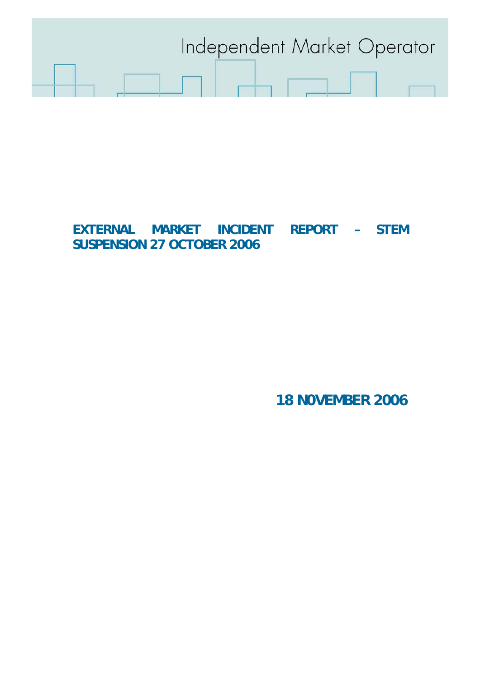

# **EXTERNAL MARKET INCIDENT REPORT – STEM SUSPENSION 27 OCTOBER 2006**

**18 N0VEMBER 2006**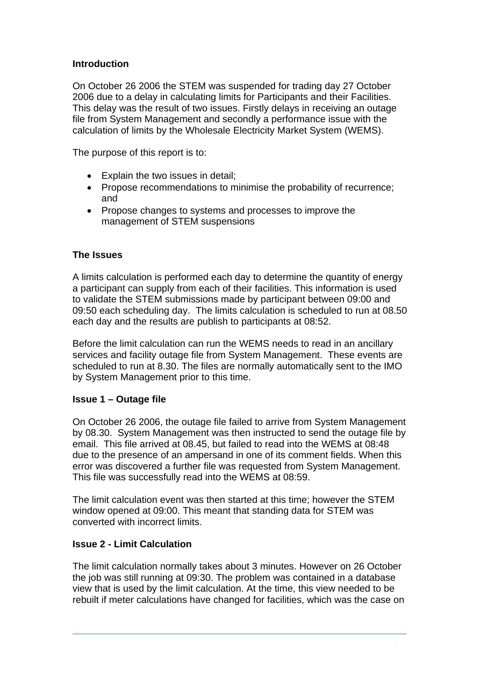## **Introduction**

On October 26 2006 the STEM was suspended for trading day 27 October 2006 due to a delay in calculating limits for Participants and their Facilities. This delay was the result of two issues. Firstly delays in receiving an outage file from System Management and secondly a performance issue with the calculation of limits by the Wholesale Electricity Market System (WEMS).

The purpose of this report is to:

- Explain the two issues in detail;
- Propose recommendations to minimise the probability of recurrence; and
- Propose changes to systems and processes to improve the management of STEM suspensions

## **The Issues**

A limits calculation is performed each day to determine the quantity of energy a participant can supply from each of their facilities. This information is used to validate the STEM submissions made by participant between 09:00 and 09:50 each scheduling day. The limits calculation is scheduled to run at 08.50 each day and the results are publish to participants at 08:52.

Before the limit calculation can run the WEMS needs to read in an ancillary services and facility outage file from System Management. These events are scheduled to run at 8.30. The files are normally automatically sent to the IMO by System Management prior to this time.

#### **Issue 1 – Outage file**

On October 26 2006, the outage file failed to arrive from System Management by 08.30. System Management was then instructed to send the outage file by email. This file arrived at 08.45, but failed to read into the WEMS at 08:48 due to the presence of an ampersand in one of its comment fields. When this error was discovered a further file was requested from System Management. This file was successfully read into the WEMS at 08:59.

The limit calculation event was then started at this time; however the STEM window opened at 09:00. This meant that standing data for STEM was converted with incorrect limits.

## **Issue 2 - Limit Calculation**

The limit calculation normally takes about 3 minutes. However on 26 October the job was still running at 09:30. The problem was contained in a database view that is used by the limit calculation. At the time, this view needed to be rebuilt if meter calculations have changed for facilities, which was the case on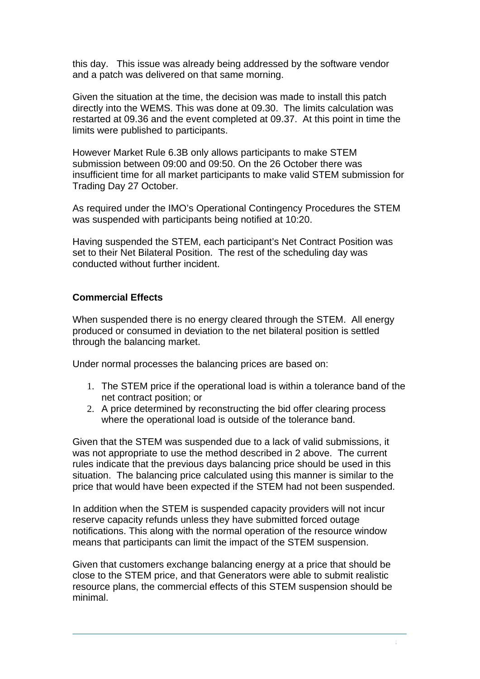this day. This issue was already being addressed by the software vendor and a patch was delivered on that same morning.

Given the situation at the time, the decision was made to install this patch directly into the WEMS. This was done at 09.30. The limits calculation was restarted at 09.36 and the event completed at 09.37. At this point in time the limits were published to participants.

However Market Rule 6.3B only allows participants to make STEM submission between 09:00 and 09:50. On the 26 October there was insufficient time for all market participants to make valid STEM submission for Trading Day 27 October.

As required under the IMO's Operational Contingency Procedures the STEM was suspended with participants being notified at 10:20.

Having suspended the STEM, each participant's Net Contract Position was set to their Net Bilateral Position. The rest of the scheduling day was conducted without further incident.

## **Commercial Effects**

When suspended there is no energy cleared through the STEM. All energy produced or consumed in deviation to the net bilateral position is settled through the balancing market.

Under normal processes the balancing prices are based on:

- 1. The STEM price if the operational load is within a tolerance band of the net contract position; or
- 2. A price determined by reconstructing the bid offer clearing process where the operational load is outside of the tolerance band.

Given that the STEM was suspended due to a lack of valid submissions, it was not appropriate to use the method described in 2 above. The current rules indicate that the previous days balancing price should be used in this situation. The balancing price calculated using this manner is similar to the price that would have been expected if the STEM had not been suspended.

In addition when the STEM is suspended capacity providers will not incur reserve capacity refunds unless they have submitted forced outage notifications. This along with the normal operation of the resource window means that participants can limit the impact of the STEM suspension.

Given that customers exchange balancing energy at a price that should be close to the STEM price, and that Generators were able to submit realistic resource plans, the commercial effects of this STEM suspension should be minimal.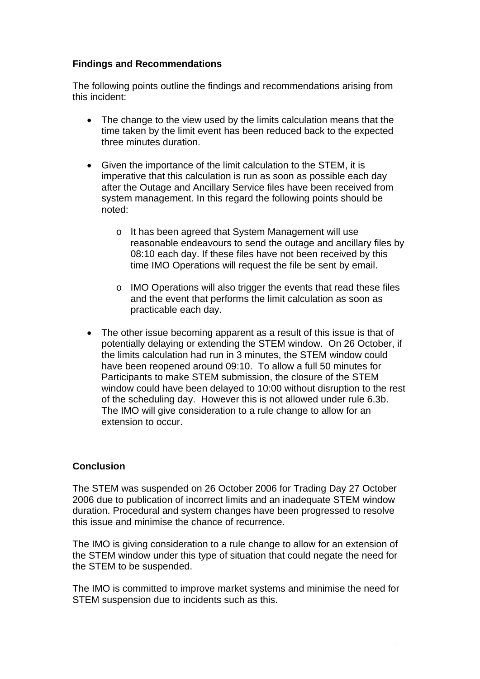## **Findings and Recommendations**

The following points outline the findings and recommendations arising from this incident:

- The change to the view used by the limits calculation means that the time taken by the limit event has been reduced back to the expected three minutes duration.
- Given the importance of the limit calculation to the STEM, it is imperative that this calculation is run as soon as possible each day after the Outage and Ancillary Service files have been received from system management. In this regard the following points should be noted:
	- o It has been agreed that System Management will use reasonable endeavours to send the outage and ancillary files by 08:10 each day. If these files have not been received by this time IMO Operations will request the file be sent by email.
	- o IMO Operations will also trigger the events that read these files and the event that performs the limit calculation as soon as practicable each day.
- The other issue becoming apparent as a result of this issue is that of potentially delaying or extending the STEM window. On 26 October, if the limits calculation had run in 3 minutes, the STEM window could have been reopened around 09:10. To allow a full 50 minutes for Participants to make STEM submission, the closure of the STEM window could have been delayed to 10:00 without disruption to the rest of the scheduling day. However this is not allowed under rule 6.3b. The IMO will give consideration to a rule change to allow for an extension to occur.

#### **Conclusion**

The STEM was suspended on 26 October 2006 for Trading Day 27 October 2006 due to publication of incorrect limits and an inadequate STEM window duration. Procedural and system changes have been progressed to resolve this issue and minimise the chance of recurrence.

The IMO is giving consideration to a rule change to allow for an extension of the STEM window under this type of situation that could negate the need for the STEM to be suspended.

The IMO is committed to improve market systems and minimise the need for STEM suspension due to incidents such as this.